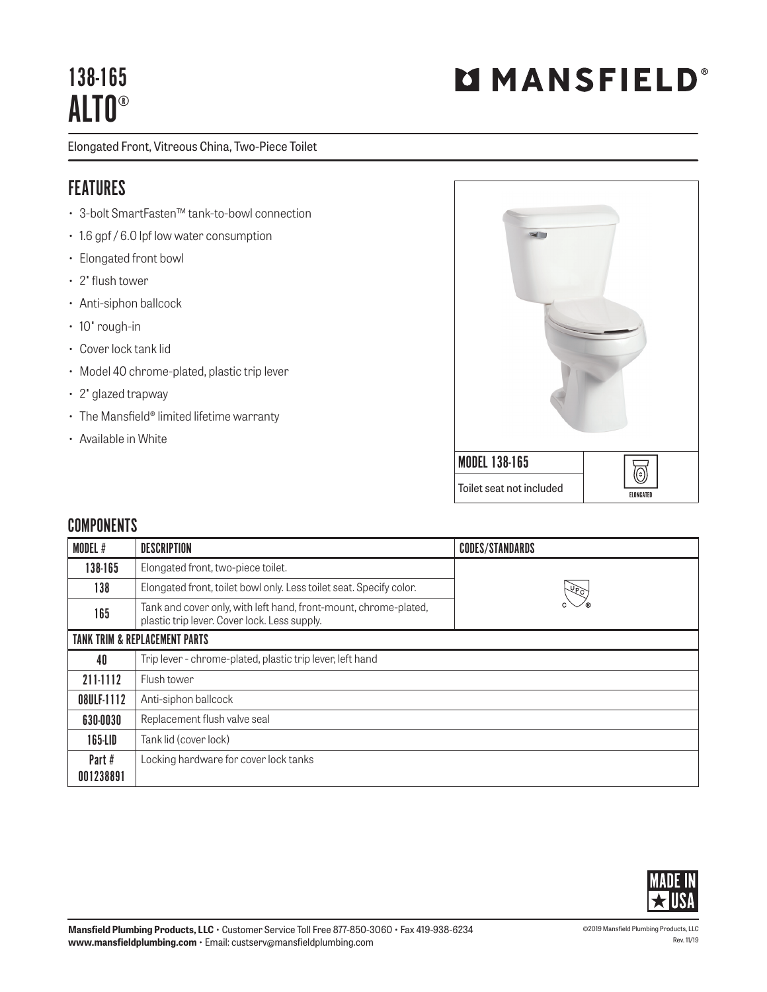## 138-165 ALTO®

Elongated Front, Vitreous China, Two-Piece Toilet

## FEATURES

- 3-bolt SmartFasten™ tank-to-bowl connection
- 1.6 gpf / 6.0 lpf low water consumption
- Elongated front bowl
- 2" flush tower
- Anti-siphon ballcock
- 10" rough-in
- Cover lock tank lid
- Model 40 chrome-plated, plastic trip lever
- 2" glazed trapway
- The Mansfield® limited lifetime warranty
- Available in White



## **COMPONENTS**

| MODEL #                                  | <b>DESCRIPTION</b>                                                                                               | <b>CODES/STANDARDS</b> |  |
|------------------------------------------|------------------------------------------------------------------------------------------------------------------|------------------------|--|
| 138-165                                  | Elongated front, two-piece toilet.                                                                               |                        |  |
| 138                                      | Elongated front, toilet bowl only. Less toilet seat. Specify color.<br><u> एक्ट</u>                              |                        |  |
| 165                                      | Tank and cover only, with left hand, front-mount, chrome-plated,<br>plastic trip lever. Cover lock. Less supply. |                        |  |
| <b>TANK TRIM &amp; REPLACEMENT PARTS</b> |                                                                                                                  |                        |  |
| 40                                       | Trip lever - chrome-plated, plastic trip lever, left hand                                                        |                        |  |
| 211-1112                                 | Flush tower                                                                                                      |                        |  |
| 08ULF-1112                               | Anti-siphon ballcock                                                                                             |                        |  |
| 630-0030                                 | Replacement flush valve seal                                                                                     |                        |  |
| 165-LID                                  | Tank lid (cover lock)                                                                                            |                        |  |
| Part#<br>001238891                       | Locking hardware for cover lock tanks                                                                            |                        |  |